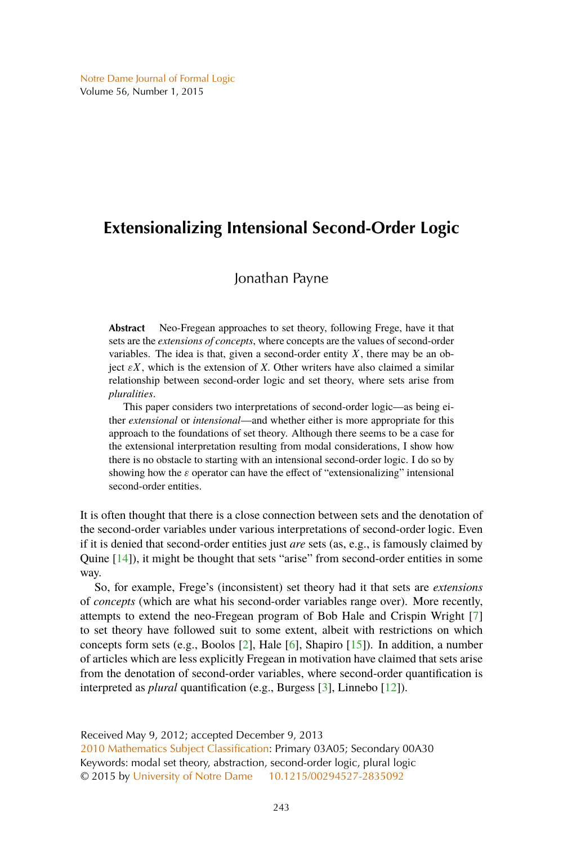# <span id="page-0-0"></span>**Extensionalizing Intensional Second-Order Logic**

## Jonathan Payne

**Abstract** Neo-Fregean approaches to set theory, following Frege, have it that sets are the *extensions of concepts*, where concepts are the values of second-order variables. The idea is that, given a second-order entity  $X$ , there may be an object  $\epsilon X$ , which is the extension of *X*. Other writers have also claimed a similar relationship between second-order logic and set theory, where sets arise from *pluralities*.

This paper considers two interpretations of second-order logic—as being either *extensional* or *intensional*—and whether either is more appropriate for this approach to the foundations of set theory. Although there seems to be a case for the extensional interpretation resulting from modal considerations, I show how there is no obstacle to starting with an intensional second-order logic. I do so by showing how the  $\varepsilon$  operator can have the effect of "extensionalizing" intensional second-order entities.

It is often thought that there is a close connection between sets and the denotation of the second-order variables under various interpretations of second-order logic. Even if it is denied that second-order entities just *are* sets (as, e.g., is famously claimed by Quine [\[14\]](#page-18-0)), it might be thought that sets "arise" from second-order entities in some way.

So, for example, Frege's (inconsistent) set theory had it that sets are *extensions* of *concepts* (which are what his second-order variables range over). More recently, attempts to extend the neo-Fregean program of Bob Hale and Crispin Wright [\[7\]](#page-17-0) to set theory have followed suit to some extent, albeit with restrictions on which concepts form sets (e.g., Boolos [\[2\]](#page-17-0), Hale [\[6\]](#page-17-0), Shapiro [\[15\]](#page-18-0)). In addition, a number of articles which are less explicitly Fregean in motivation have claimed that sets arise from the denotation of second-order variables, where second-order quantification is interpreted as *plural* quantification (e.g., Burgess [\[3\]](#page-17-0), Linnebo [\[12\]](#page-18-0)).

Received May 9, 2012; accepted December 9, 2013 [2010 Mathematics Subject Classification:](http://www.ams.org/mathscinet/msc/msc2010.html) Primary 03A05; Secondary 00A30 Keywords: modal set theory, abstraction, second-order logic, plural logic © 2015 by [University of Notre Dame](http://www.nd.edu) [10.1215/00294527-2835092](http://dx.doi.org/10.1215/00294527-2835092)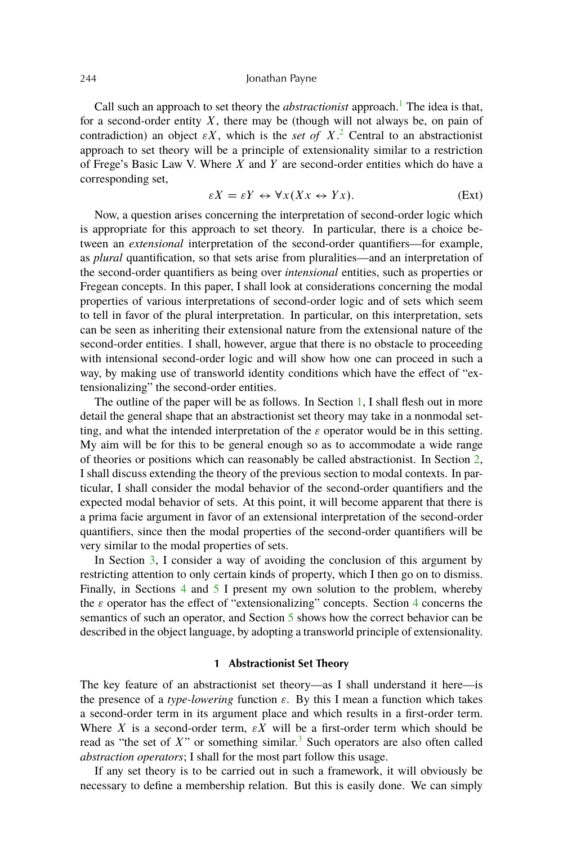<span id="page-1-0"></span>Call such an approach to set theory the *abstractionist* approach.<sup>[1](#page-15-0)</sup> The idea is that, for a second-order entity  $X$ , there may be (though will not always be, on pain of contradiction) an object  $\epsilon X$ , which is the *set of*  $X$ .<sup>[2](#page-15-0)</sup> Central to an abstractionist approach to set theory will be a principle of extensionality similar to a restriction of Frege's Basic Law V. Where  $X$  and  $Y$  are second-order entities which do have a corresponding set,

$$
\varepsilon X = \varepsilon Y \leftrightarrow \forall x (Xx \leftrightarrow Yx). \tag{Ext}
$$

Now, a question arises concerning the interpretation of second-order logic which is appropriate for this approach to set theory. In particular, there is a choice between an *extensional* interpretation of the second-order quantifiers—for example, as *plural* quantification, so that sets arise from pluralities—and an interpretation of the second-order quantifiers as being over *intensional* entities, such as properties or Fregean concepts. In this paper, I shall look at considerations concerning the modal properties of various interpretations of second-order logic and of sets which seem to tell in favor of the plural interpretation. In particular, on this interpretation, sets can be seen as inheriting their extensional nature from the extensional nature of the second-order entities. I shall, however, argue that there is no obstacle to proceeding with intensional second-order logic and will show how one can proceed in such a way, by making use of transworld identity conditions which have the effect of "extensionalizing" the second-order entities.

The outline of the paper will be as follows. In Section 1, I shall flesh out in more detail the general shape that an abstractionist set theory may take in a nonmodal setting, and what the intended interpretation of the  $\varepsilon$  operator would be in this setting. My aim will be for this to be general enough so as to accommodate a wide range of theories or positions which can reasonably be called abstractionist. In Section [2,](#page-4-0) I shall discuss extending the theory of the previous section to modal contexts. In particular, I shall consider the modal behavior of the second-order quantifiers and the expected modal behavior of sets. At this point, it will become apparent that there is a prima facie argument in favor of an extensional interpretation of the second-order quantifiers, since then the modal properties of the second-order quantifiers will be very similar to the modal properties of sets.

In Section [3,](#page-8-0) I consider a way of avoiding the conclusion of this argument by restricting attention to only certain kinds of property, which I then go on to dismiss. Finally, in Sections [4](#page-9-0) and [5](#page-11-0) I present my own solution to the problem, whereby the  $\varepsilon$  operator has the effect of "extensionalizing" concepts. Section [4](#page-9-0) concerns the semantics of such an operator, and Section [5](#page-11-0) shows how the correct behavior can be described in the object language, by adopting a transworld principle of extensionality.

## **1 Abstractionist Set Theory**

The key feature of an abstractionist set theory—as I shall understand it here—is the presence of a *type-lowering* function  $\varepsilon$ . By this I mean a function which takes a second-order term in its argument place and which results in a first-order term. Where X is a second-order term,  $\epsilon X$  will be a first-order term which should be read as "the set of  $X$ " or something similar.<sup>[3](#page-15-0)</sup> Such operators are also often called *abstraction operators*; I shall for the most part follow this usage.

If any set theory is to be carried out in such a framework, it will obviously be necessary to define a membership relation. But this is easily done. We can simply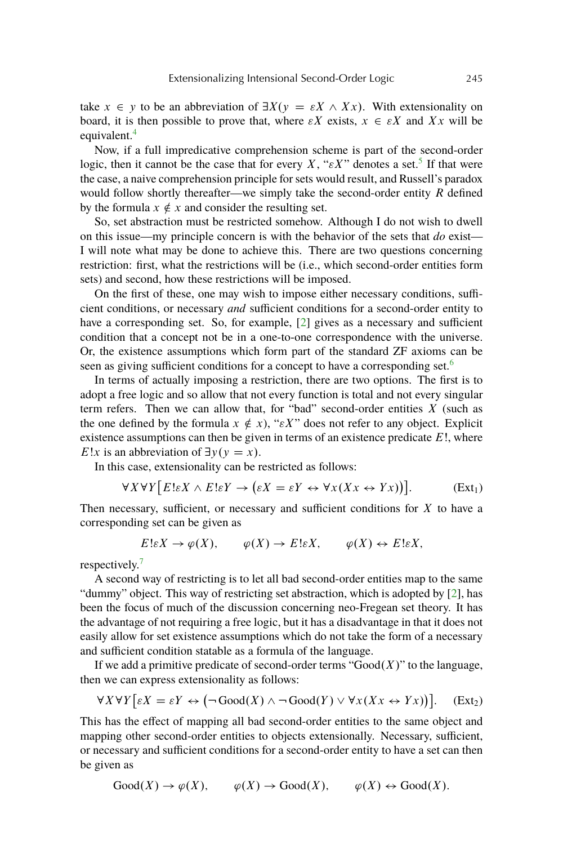<span id="page-2-0"></span>take  $x \in y$  to be an abbreviation of  $\exists X (y = \varepsilon X \wedge Xx)$ . With extensionality on board, it is then possible to prove that, where  $\epsilon X$  exists,  $x \in \epsilon X$  and Xx will be equivalent.<sup>[4](#page-15-0)</sup>

Now, if a full impredicative comprehension scheme is part of the second-order logic, then it cannot be the case that for every X, " $\epsilon X$ " denotes a set.<sup>[5](#page-15-0)</sup> If that were the case, a naive comprehension principle for sets would result, and Russell's paradox would follow shortly thereafter—we simply take the second-order entity R defined by the formula  $x \notin x$  and consider the resulting set.

So, set abstraction must be restricted somehow. Although I do not wish to dwell on this issue—my principle concern is with the behavior of the sets that *do* exist— I will note what may be done to achieve this. There are two questions concerning restriction: first, what the restrictions will be (i.e., which second-order entities form sets) and second, how these restrictions will be imposed.

On the first of these, one may wish to impose either necessary conditions, sufficient conditions, or necessary *and* sufficient conditions for a second-order entity to have a corresponding set. So, for example, [\[2\]](#page-17-0) gives as a necessary and sufficient condition that a concept not be in a one-to-one correspondence with the universe. Or, the existence assumptions which form part of the standard ZF axioms can be seen as giving sufficient conditions for a concept to have a corresponding set.<sup>[6](#page-15-0)</sup>

In terms of actually imposing a restriction, there are two options. The first is to adopt a free logic and so allow that not every function is total and not every singular term refers. Then we can allow that, for "bad" second-order entities  $X$  (such as the one defined by the formula  $x \notin x$ , " $\epsilon X$ " does not refer to any object. Explicit existence assumptions can then be given in terms of an existence predicate  $E!$ , where E!x is an abbreviation of  $\exists y (y = x)$ .

In this case, extensionality can be restricted as follows:

$$
\forall X \forall Y \big[ E! \varepsilon X \land E! \varepsilon Y \to (\varepsilon X = \varepsilon Y \leftrightarrow \forall x (Xx \leftrightarrow Yx) ) \big]. \tag{Ext_1}
$$

Then necessary, sufficient, or necessary and sufficient conditions for  $X$  to have a corresponding set can be given as

$$
E!\varepsilon X \to \varphi(X), \qquad \varphi(X) \to E!\varepsilon X, \qquad \varphi(X) \leftrightarrow E!\varepsilon X,
$$

respectively.<sup>[7](#page-16-0)</sup>

A second way of restricting is to let all bad second-order entities map to the same "dummy" object. This way of restricting set abstraction, which is adopted by [\[2\]](#page-17-0), has been the focus of much of the discussion concerning neo-Fregean set theory. It has the advantage of not requiring a free logic, but it has a disadvantage in that it does not easily allow for set existence assumptions which do not take the form of a necessary and sufficient condition statable as a formula of the language.

If we add a primitive predicate of second-order terms " $Good(X)$ " to the language, then we can express extensionality as follows:

$$
\forall X \forall Y \big[ \varepsilon X = \varepsilon Y \leftrightarrow (\neg \operatorname{Good}(X) \land \neg \operatorname{Good}(Y) \lor \forall x (Xx \leftrightarrow Yx) \big) \big]. \quad \text{(Ext}_2)
$$

This has the effect of mapping all bad second-order entities to the same object and mapping other second-order entities to objects extensionally. Necessary, sufficient, or necessary and sufficient conditions for a second-order entity to have a set can then be given as

 $Good(X) \to \varphi(X), \qquad \varphi(X) \to Good(X), \qquad \varphi(X) \leftrightarrow Good(X).$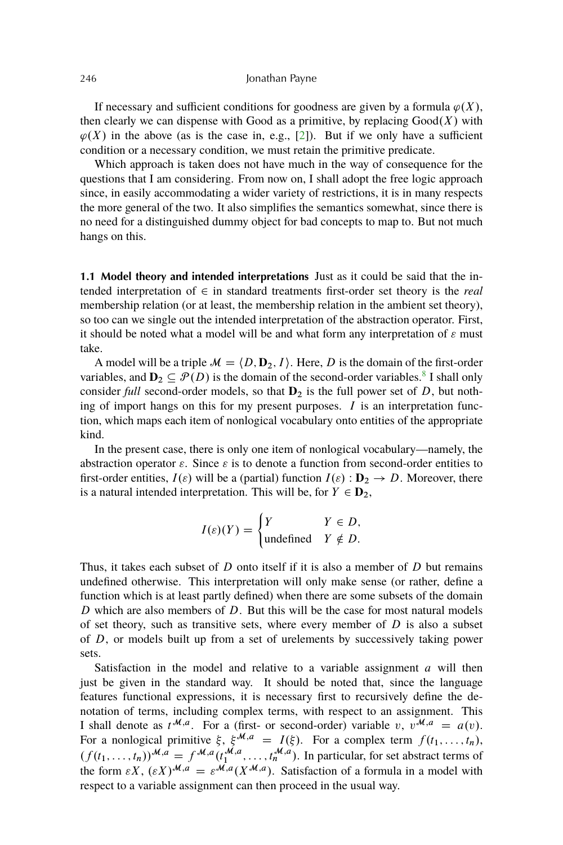<span id="page-3-0"></span>If necessary and sufficient conditions for goodness are given by a formula  $\varphi(X)$ , then clearly we can dispense with Good as a primitive, by replacing  $Good(X)$  with  $\varphi(X)$  in the above (as is the case in, e.g., [\[2\]](#page-17-0)). But if we only have a sufficient condition or a necessary condition, we must retain the primitive predicate.

Which approach is taken does not have much in the way of consequence for the questions that I am considering. From now on, I shall adopt the free logic approach since, in easily accommodating a wider variety of restrictions, it is in many respects the more general of the two. It also simplifies the semantics somewhat, since there is no need for a distinguished dummy object for bad concepts to map to. But not much hangs on this.

**1.1 Model theory and intended interpretations** Just as it could be said that the intended interpretation of  $\in$  in standard treatments first-order set theory is the *real* membership relation (or at least, the membership relation in the ambient set theory), so too can we single out the intended interpretation of the abstraction operator. First, it should be noted what a model will be and what form any interpretation of  $\varepsilon$  must take.

A model will be a triple  $\mathcal{M} = \langle D, D_2, I \rangle$ . Here, D is the domain of the first-order variables, and  $D_2 \subseteq \mathcal{P}(D)$  is the domain of the second-order variables.<sup>[8](#page-16-0)</sup> I shall only consider *full* second-order models, so that  $D_2$  is the full power set of  $D$ , but nothing of import hangs on this for my present purposes.  $I$  is an interpretation function, which maps each item of nonlogical vocabulary onto entities of the appropriate kind.

In the present case, there is only one item of nonlogical vocabulary—namely, the abstraction operator  $\varepsilon$ . Since  $\varepsilon$  is to denote a function from second-order entities to first-order entities,  $I(\varepsilon)$  will be a (partial) function  $I(\varepsilon) : \mathbf{D}_2 \to D$ . Moreover, there is a natural intended interpretation. This will be, for  $Y \in D_2$ ,

$$
I(\varepsilon)(Y) = \begin{cases} Y & Y \in D, \\ \text{undefined} & Y \notin D. \end{cases}
$$

Thus, it takes each subset of  $D$  onto itself if it is also a member of  $D$  but remains undefined otherwise. This interpretation will only make sense (or rather, define a function which is at least partly defined) when there are some subsets of the domain D which are also members of D. But this will be the case for most natural models of set theory, such as transitive sets, where every member of  $D$  is also a subset of D, or models built up from a set of urelements by successively taking power sets.

Satisfaction in the model and relative to a variable assignment  $a$  will then just be given in the standard way. It should be noted that, since the language features functional expressions, it is necessary first to recursively define the denotation of terms, including complex terms, with respect to an assignment. This I shall denote as  $t^{M,a}$ . For a (first- or second-order) variable v,  $v^{M,a} = a(v)$ . For a nonlogical primitive  $\xi$ ,  $\xi^{\mathcal{M},a} = I(\xi)$ . For a complex term  $f(t_1, \ldots, t_n)$ ,  $(f(t_1,\ldots,t_n))^{\mathcal{M},a} = f^{\mathcal{M},a}(t_1^{\mathcal{M},a},\ldots,t_n^{\mathcal{M},a})$ . In particular, for set abstract terms of the form  $\epsilon X$ ,  $(\epsilon X)^{\mathcal{M},a} = \epsilon^{\mathcal{M},a}(X^{\mathcal{M},a})$ . Satisfaction of a formula in a model with respect to a variable assignment can then proceed in the usual way.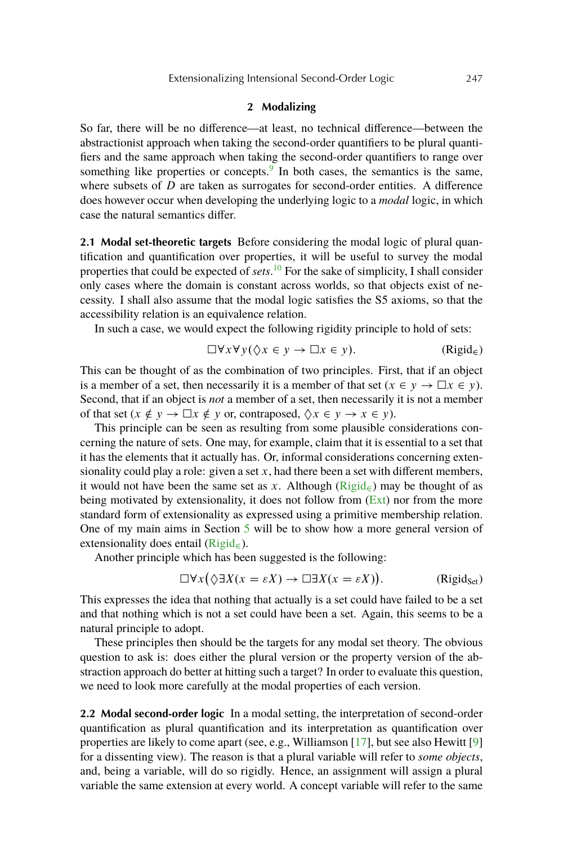## **2 Modalizing**

<span id="page-4-0"></span>So far, there will be no difference—at least, no technical difference—between the abstractionist approach when taking the second-order quantifiers to be plural quantifiers and the same approach when taking the second-order quantifiers to range over something like properties or concepts.<sup>[9](#page-16-0)</sup> In both cases, the semantics is the same, where subsets of  $D$  are taken as surrogates for second-order entities. A difference does however occur when developing the underlying logic to a *modal* logic, in which case the natural semantics differ.

**2.1 Modal set-theoretic targets** Before considering the modal logic of plural quantification and quantification over properties, it will be useful to survey the modal properties that could be expected of *sets*. [10](#page-16-0) For the sake of simplicity, I shall consider only cases where the domain is constant across worlds, so that objects exist of necessity. I shall also assume that the modal logic satisfies the S5 axioms, so that the accessibility relation is an equivalence relation.

In such a case, we would expect the following rigidity principle to hold of sets:

$$
\Box \forall x \forall y (\Diamond x \in y \to \Box x \in y). \tag{Rigid}_{\in}
$$

This can be thought of as the combination of two principles. First, that if an object is a member of a set, then necessarily it is a member of that set  $(x \in y \to \Box x \in y)$ . Second, that if an object is *not* a member of a set, then necessarily it is not a member of that set  $(x \notin y \to \Box x \notin y$  or, contraposed,  $\Diamond x \in y \to x \in y$ ).

This principle can be seen as resulting from some plausible considerations concerning the nature of sets. One may, for example, claim that it is essential to a set that it has the elements that it actually has. Or, informal considerations concerning extensionality could play a role: given a set  $x$ , had there been a set with different members, it would not have been the same set as x. Although ( $\text{Rigid}_{\epsilon}$ ) may be thought of as being motivated by extensionality, it does not follow from  $(Ext)$  nor from the more standard form of extensionality as expressed using a primitive membership relation. One of my main aims in Section [5](#page-11-0) will be to show how a more general version of extensionality does entail ( $\text{Rigid}_{\infty}$ ).

Another principle which has been suggested is the following:

$$
\Box \forall x (\Diamond \exists X (x = \varepsilon X) \to \Box \exists X (x = \varepsilon X)).
$$
 (Rigid<sub>Set</sub>)

This expresses the idea that nothing that actually is a set could have failed to be a set and that nothing which is not a set could have been a set. Again, this seems to be a natural principle to adopt.

These principles then should be the targets for any modal set theory. The obvious question to ask is: does either the plural version or the property version of the abstraction approach do better at hitting such a target? In order to evaluate this question, we need to look more carefully at the modal properties of each version.

**2.2 Modal second-order logic** In a modal setting, the interpretation of second-order quantification as plural quantification and its interpretation as quantification over properties are likely to come apart (see, e.g., Williamson [\[17\]](#page-18-0), but see also Hewitt [\[9\]](#page-17-0) for a dissenting view). The reason is that a plural variable will refer to *some objects*, and, being a variable, will do so rigidly. Hence, an assignment will assign a plural variable the same extension at every world. A concept variable will refer to the same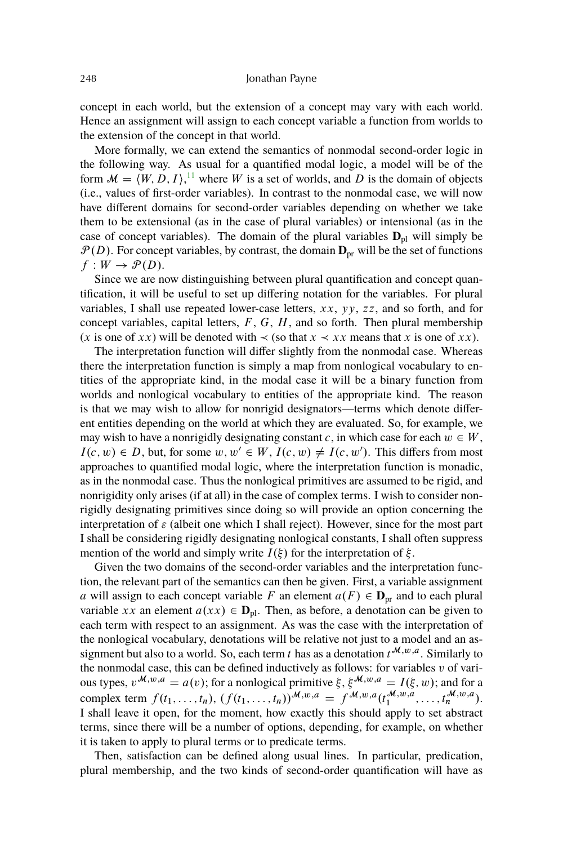concept in each world, but the extension of a concept may vary with each world. Hence an assignment will assign to each concept variable a function from worlds to the extension of the concept in that world.

More formally, we can extend the semantics of nonmodal second-order logic in the following way. As usual for a quantified modal logic, a model will be of the form  $\mathcal{M} = \langle W, D, I \rangle$ , <sup>[11](#page-16-0)</sup> where W is a set of worlds, and D is the domain of objects (i.e., values of first-order variables). In contrast to the nonmodal case, we will now have different domains for second-order variables depending on whether we take them to be extensional (as in the case of plural variables) or intensional (as in the case of concept variables). The domain of the plural variables  $D_{pl}$  will simply be  $\mathcal{P}(D)$ . For concept variables, by contrast, the domain  $\mathbf{D}_{pr}$  will be the set of functions  $f: W \rightarrow \mathcal{P}(D)$ .

Since we are now distinguishing between plural quantification and concept quantification, it will be useful to set up differing notation for the variables. For plural variables, I shall use repeated lower-case letters,  $xx$ ,  $yy$ ,  $zz$ , and so forth, and for concept variables, capital letters,  $F$ ,  $G$ ,  $H$ , and so forth. Then plural membership (x is one of xx) will be denoted with  $\prec$  (so that  $x \prec xx$  means that x is one of xx).

The interpretation function will differ slightly from the nonmodal case. Whereas there the interpretation function is simply a map from nonlogical vocabulary to entities of the appropriate kind, in the modal case it will be a binary function from worlds and nonlogical vocabulary to entities of the appropriate kind. The reason is that we may wish to allow for nonrigid designators—terms which denote different entities depending on the world at which they are evaluated. So, for example, we may wish to have a nonrigidly designating constant c, in which case for each  $w \in W$ ,  $I(c, w) \in D$ , but, for some  $w, w' \in W$ ,  $I(c, w) \neq I(c, w')$ . This differs from most approaches to quantified modal logic, where the interpretation function is monadic, as in the nonmodal case. Thus the nonlogical primitives are assumed to be rigid, and nonrigidity only arises (if at all) in the case of complex terms. I wish to consider nonrigidly designating primitives since doing so will provide an option concerning the interpretation of  $\varepsilon$  (albeit one which I shall reject). However, since for the most part I shall be considering rigidly designating nonlogical constants, I shall often suppress mention of the world and simply write  $I(\xi)$  for the interpretation of  $\xi$ .

Given the two domains of the second-order variables and the interpretation function, the relevant part of the semantics can then be given. First, a variable assignment a will assign to each concept variable F an element  $a(F) \in \mathbf{D}_{pr}$  and to each plural variable xx an element  $a(xx) \in D_{pl}$ . Then, as before, a denotation can be given to each term with respect to an assignment. As was the case with the interpretation of the nonlogical vocabulary, denotations will be relative not just to a model and an assignment but also to a world. So, each term t has as a denotation  $t^{M,w,a}$ . Similarly to the nonmodal case, this can be defined inductively as follows: for variables  $v$  of various types,  $v^{M,w,a} = a(v)$ ; for a nonlogical primitive  $\xi$ ,  $\xi^{M,w,a} = I(\xi, w)$ ; and for a complex term  $f(t_1, ..., t_n)$ ,  $(f(t_1, ..., t_n))^{\mathcal{M}, w, a} = f^{\mathcal{M}, w, a}(t_1^{\mathcal{M}, w, a}, ..., t_n^{\mathcal{M}, w, a})$ . I shall leave it open, for the moment, how exactly this should apply to set abstract terms, since there will be a number of options, depending, for example, on whether it is taken to apply to plural terms or to predicate terms.

Then, satisfaction can be defined along usual lines. In particular, predication, plural membership, and the two kinds of second-order quantification will have as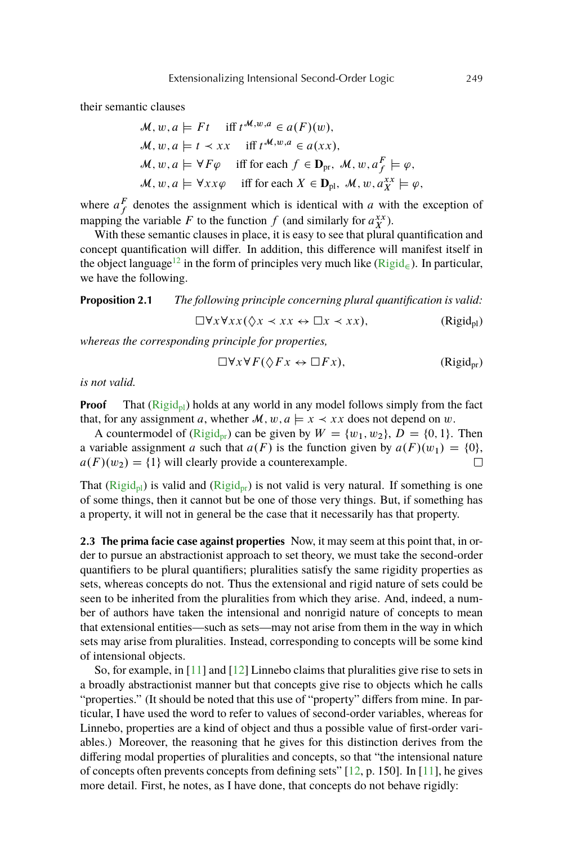<span id="page-6-0"></span>their semantic clauses

$$
\mathcal{M}, w, a \models Ft \quad \text{iff } t^{\mathcal{M},w,a} \in a(F)(w),
$$
  

$$
\mathcal{M}, w, a \models t \prec xx \quad \text{iff } t^{\mathcal{M},w,a} \in a(xx),
$$
  

$$
\mathcal{M}, w, a \models \forall F\varphi \quad \text{iff for each } f \in \mathbf{D}_{pr}, \mathcal{M}, w, a_f^F \models \varphi,
$$
  

$$
\mathcal{M}, w, a \models \forall xx\varphi \quad \text{iff for each } X \in \mathbf{D}_{pl}, \mathcal{M}, w, a_x^{\mathcal{XX}} \models \varphi,
$$

where  $a_f^F$  denotes the assignment which is identical with a with the exception of mapping the variable F to the function f (and similarly for  $a_X^{xx}$ ).

With these semantic clauses in place, it is easy to see that plural quantification and concept quantification will differ. In addition, this difference will manifest itself in the object language<sup>[12](#page-16-0)</sup> in the form of principles very much like ( $\text{Rigid}_\epsilon$ ). In particular, we have the following.

**Proposition 2.1** *The following principle concerning plural quantification is valid:*

 $\Box \forall x \forall xx (\Diamond x \prec xx \leftrightarrow \Box x \prec xx),$  (Rigid<sub>pl</sub>)

*whereas the corresponding principle for properties,*

$$
\Box \forall x \forall F (\Diamond F x \leftrightarrow \Box F x), \qquad (\text{Rigid}_{\text{pr}})
$$

*is not valid.*

**Proof** That  $(Rigid_{pl})$  holds at any world in any model follows simply from the fact that, for any assignment a, whether  $\mathcal{M}, w, a \models x \prec xx$  does not depend on w.

A countermodel of (Rigid<sub>pr</sub>) can be given by  $W = \{w_1, w_2\}$ ,  $D = \{0, 1\}$ . Then a variable assignment a such that  $a(F)$  is the function given by  $a(F)(w_1) = \{0\}$ ,  $a(F)(w_2) = \{1\}$  will clearly provide a counterexample.  $\Box$ 

That ( $\text{Rigid}_{\text{pl}}$ ) is valid and ( $\text{Rigid}_{\text{pr}}$ ) is not valid is very natural. If something is one of some things, then it cannot but be one of those very things. But, if something has a property, it will not in general be the case that it necessarily has that property.

**2.3 The prima facie case against properties** Now, it may seem at this point that, in order to pursue an abstractionist approach to set theory, we must take the second-order quantifiers to be plural quantifiers; pluralities satisfy the same rigidity properties as sets, whereas concepts do not. Thus the extensional and rigid nature of sets could be seen to be inherited from the pluralities from which they arise. And, indeed, a number of authors have taken the intensional and nonrigid nature of concepts to mean that extensional entities—such as sets—may not arise from them in the way in which sets may arise from pluralities. Instead, corresponding to concepts will be some kind of intensional objects.

So, for example, in [\[11\]](#page-18-0) and [\[12\]](#page-18-0) Linnebo claims that pluralities give rise to sets in a broadly abstractionist manner but that concepts give rise to objects which he calls "properties." (It should be noted that this use of "property" differs from mine. In particular, I have used the word to refer to values of second-order variables, whereas for Linnebo, properties are a kind of object and thus a possible value of first-order variables.) Moreover, the reasoning that he gives for this distinction derives from the differing modal properties of pluralities and concepts, so that "the intensional nature of concepts often prevents concepts from defining sets" [\[12,](#page-18-0) p. 150]. In [\[11\]](#page-18-0), he gives more detail. First, he notes, as I have done, that concepts do not behave rigidly: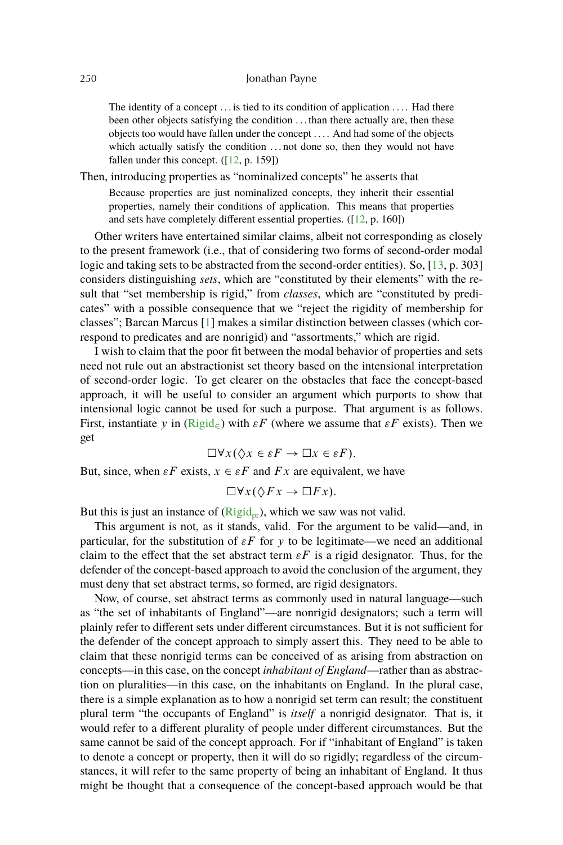<span id="page-7-0"></span>The identity of a concept ... is tied to its condition of application .... Had there been other objects satisfying the condition . . . than there actually are, then these objects too would have fallen under the concept . . . . And had some of the objects which actually satisfy the condition ... not done so, then they would not have fallen under this concept.  $([12, p. 159])$  $([12, p. 159])$  $([12, p. 159])$ 

Then, introducing properties as "nominalized concepts" he asserts that

Because properties are just nominalized concepts, they inherit their essential properties, namely their conditions of application. This means that properties and sets have completely different essential properties. ([\[12,](#page-18-0) p. 160])

Other writers have entertained similar claims, albeit not corresponding as closely to the present framework (i.e., that of considering two forms of second-order modal logic and taking sets to be abstracted from the second-order entities). So, [\[13,](#page-18-0) p. 303] considers distinguishing *sets*, which are "constituted by their elements" with the result that "set membership is rigid," from *classes*, which are "constituted by predicates" with a possible consequence that we "reject the rigidity of membership for classes"; Barcan Marcus [\[1\]](#page-17-0) makes a similar distinction between classes (which correspond to predicates and are nonrigid) and "assortments," which are rigid.

I wish to claim that the poor fit between the modal behavior of properties and sets need not rule out an abstractionist set theory based on the intensional interpretation of second-order logic. To get clearer on the obstacles that face the concept-based approach, it will be useful to consider an argument which purports to show that intensional logic cannot be used for such a purpose. That argument is as follows. First, instantiate y in  $(Rigid_{\epsilon})$  $(Rigid_{\epsilon})$  with  $\epsilon F$  (where we assume that  $\epsilon F$  exists). Then we get

$$
\Box \forall x (\Diamond x \in \varepsilon F \to \Box x \in \varepsilon F).
$$

But, since, when  $\varepsilon F$  exists,  $x \in \varepsilon F$  and  $Fx$  are equivalent, we have

$$
\Box \forall x (\Diamond Fx \to \Box Fx).
$$

But this is just an instance of  $(Rigid_{pr})$  $(Rigid_{pr})$ , which we saw was not valid.

This argument is not, as it stands, valid. For the argument to be valid—and, in particular, for the substitution of  $\varepsilon F$  for y to be legitimate—we need an additional claim to the effect that the set abstract term  $\epsilon F$  is a rigid designator. Thus, for the defender of the concept-based approach to avoid the conclusion of the argument, they must deny that set abstract terms, so formed, are rigid designators.

Now, of course, set abstract terms as commonly used in natural language—such as "the set of inhabitants of England"—are nonrigid designators; such a term will plainly refer to different sets under different circumstances. But it is not sufficient for the defender of the concept approach to simply assert this. They need to be able to claim that these nonrigid terms can be conceived of as arising from abstraction on concepts—in this case, on the concept *inhabitant of England*—rather than as abstraction on pluralities—in this case, on the inhabitants on England. In the plural case, there is a simple explanation as to how a nonrigid set term can result; the constituent plural term "the occupants of England" is *itself* a nonrigid designator. That is, it would refer to a different plurality of people under different circumstances. But the same cannot be said of the concept approach. For if "inhabitant of England" is taken to denote a concept or property, then it will do so rigidly; regardless of the circumstances, it will refer to the same property of being an inhabitant of England. It thus might be thought that a consequence of the concept-based approach would be that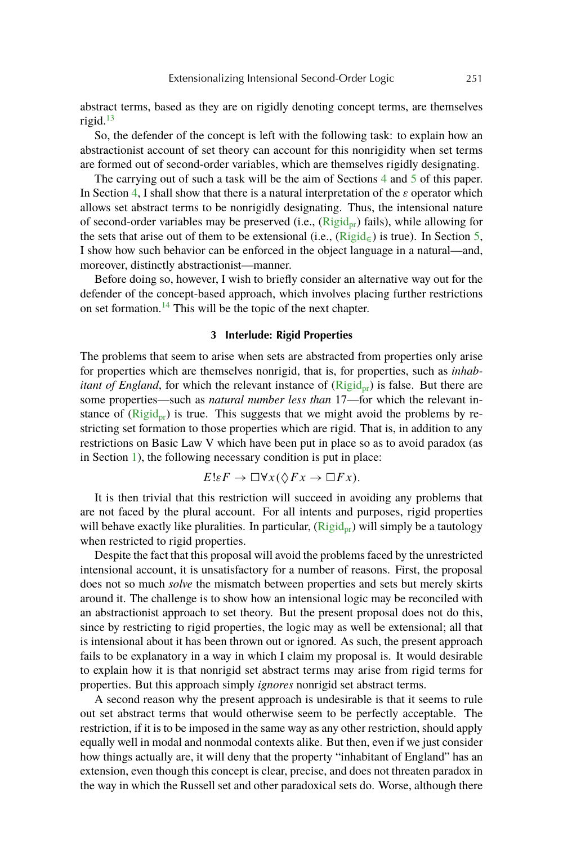<span id="page-8-0"></span>abstract terms, based as they are on rigidly denoting concept terms, are themselves rigid. $^{13}$  $^{13}$  $^{13}$ 

So, the defender of the concept is left with the following task: to explain how an abstractionist account of set theory can account for this nonrigidity when set terms are formed out of second-order variables, which are themselves rigidly designating.

The carrying out of such a task will be the aim of Sections [4](#page-9-0) and [5](#page-11-0) of this paper. In Section [4,](#page-9-0) I shall show that there is a natural interpretation of the  $\varepsilon$  operator which allows set abstract terms to be nonrigidly designating. Thus, the intensional nature of second-order variables may be preserved (i.e.,  $(Rigid_{\text{pr}})$  $(Rigid_{\text{pr}})$  fails), while allowing for the sets that arise out of them to be extensional (i.e.,  $(Rigid_{\epsilon})$  $(Rigid_{\epsilon})$ ) is true). In Section [5,](#page-11-0) I show how such behavior can be enforced in the object language in a natural—and, moreover, distinctly abstractionist—manner.

Before doing so, however, I wish to briefly consider an alternative way out for the defender of the concept-based approach, which involves placing further restrictions on set formation.[14](#page-17-0) This will be the topic of the next chapter.

## **3 Interlude: Rigid Properties**

The problems that seem to arise when sets are abstracted from properties only arise for properties which are themselves nonrigid, that is, for properties, such as *inhabitant of England*, for which the relevant instance of  $(Rigid_{\text{pr}})$  $(Rigid_{\text{pr}})$  is false. But there are some properties—such as *natural number less than* 17—for which the relevant instance of  $(Rigid_{\rm nr})$  $(Rigid_{\rm nr})$  is true. This suggests that we might avoid the problems by restricting set formation to those properties which are rigid. That is, in addition to any restrictions on Basic Law V which have been put in place so as to avoid paradox (as in Section [1\)](#page-1-0), the following necessary condition is put in place:

$$
E\ell F \to \Box \forall x (\Diamond Fx \to \Box Fx).
$$

It is then trivial that this restriction will succeed in avoiding any problems that are not faced by the plural account. For all intents and purposes, rigid properties will behave exactly like pluralities. In particular,  $(Rigid_{pr})$  $(Rigid_{pr})$  will simply be a tautology when restricted to rigid properties.

Despite the fact that this proposal will avoid the problems faced by the unrestricted intensional account, it is unsatisfactory for a number of reasons. First, the proposal does not so much *solve* the mismatch between properties and sets but merely skirts around it. The challenge is to show how an intensional logic may be reconciled with an abstractionist approach to set theory. But the present proposal does not do this, since by restricting to rigid properties, the logic may as well be extensional; all that is intensional about it has been thrown out or ignored. As such, the present approach fails to be explanatory in a way in which I claim my proposal is. It would desirable to explain how it is that nonrigid set abstract terms may arise from rigid terms for properties. But this approach simply *ignores* nonrigid set abstract terms.

A second reason why the present approach is undesirable is that it seems to rule out set abstract terms that would otherwise seem to be perfectly acceptable. The restriction, if it is to be imposed in the same way as any other restriction, should apply equally well in modal and nonmodal contexts alike. But then, even if we just consider how things actually are, it will deny that the property "inhabitant of England" has an extension, even though this concept is clear, precise, and does not threaten paradox in the way in which the Russell set and other paradoxical sets do. Worse, although there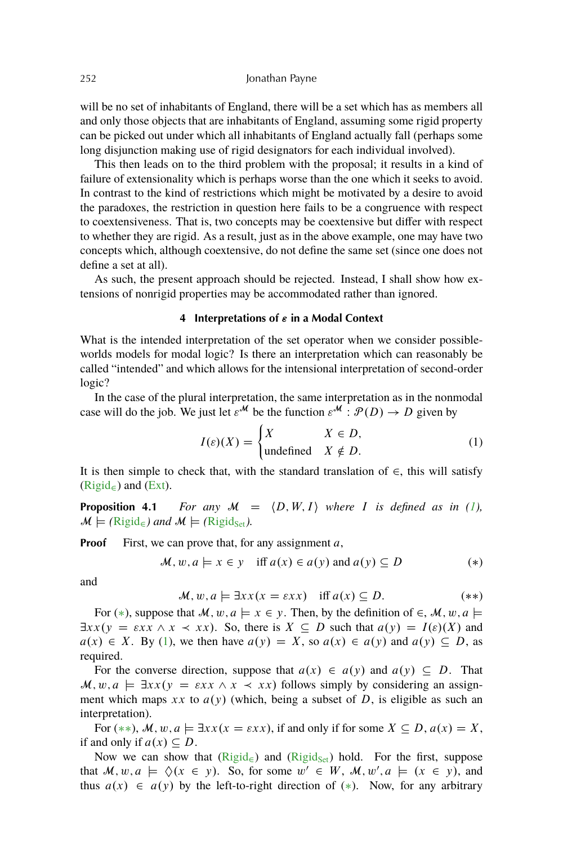<span id="page-9-0"></span>will be no set of inhabitants of England, there will be a set which has as members all and only those objects that are inhabitants of England, assuming some rigid property can be picked out under which all inhabitants of England actually fall (perhaps some long disjunction making use of rigid designators for each individual involved).

This then leads on to the third problem with the proposal; it results in a kind of failure of extensionality which is perhaps worse than the one which it seeks to avoid. In contrast to the kind of restrictions which might be motivated by a desire to avoid the paradoxes, the restriction in question here fails to be a congruence with respect to coextensiveness. That is, two concepts may be coextensive but differ with respect to whether they are rigid. As a result, just as in the above example, one may have two concepts which, although coextensive, do not define the same set (since one does not define a set at all).

As such, the present approach should be rejected. Instead, I shall show how extensions of nonrigid properties may be accommodated rather than ignored.

## **4** Interpretations of  $\varepsilon$  in a Modal Context

What is the intended interpretation of the set operator when we consider possibleworlds models for modal logic? Is there an interpretation which can reasonably be called "intended" and which allows for the intensional interpretation of second-order logic?

In the case of the plural interpretation, the same interpretation as in the nonmodal case will do the job. We just let  $\varepsilon^{\mathcal{M}}$  be the function  $\varepsilon^{\mathcal{M}}$  :  $\mathcal{P}(D) \to D$  given by

$$
I(\varepsilon)(X) = \begin{cases} X & X \in D, \\ \text{undefined} & X \notin D. \end{cases}
$$
 (1)

It is then simple to check that, with the standard translation of  $\in$ , this will satisfy  $(Rigid<sub>\epsilon</sub>)$  $(Rigid<sub>\epsilon</sub>)$  and [\(Ext\)](#page-1-0).

**Proposition 4.1** *For any*  $M = \langle D, W, I \rangle$  *where I is defined as in (1),*  $\mathcal{M} \models (\text{Rigid}_{\infty})$  $\mathcal{M} \models (\text{Rigid}_{\infty})$  $\mathcal{M} \models (\text{Rigid}_{\infty})$  and  $\mathcal{M} \models (\text{Rigid}_{\text{Set}})$ .

**Proof** First, we can prove that, for any assignment a,

 $M, w, a \models x \in y \text{ iff } a(x) \in a(y) \text{ and } a(y) \subseteq D$  (\*)

and

$$
\mathcal{M}, w, a \models \exists xx(x = \varepsilon xx) \quad \text{iff } a(x) \subseteq D. \tag{**}
$$

For  $(*)$ , suppose that  $\mathcal{M}, w, a \models x \in \gamma$ . Then, by the definition of  $\in, \mathcal{M}, w, a \models$  $\exists xx(y = \varepsilon xx \land x \prec xx)$ . So, there is  $X \subseteq D$  such that  $a(y) = I(\varepsilon)(X)$  and  $a(x) \in X$ . By (1), we then have  $a(y) = X$ , so  $a(x) \in a(y)$  and  $a(y) \subseteq D$ , as required.

For the converse direction, suppose that  $a(x) \in a(y)$  and  $a(y) \subseteq D$ . That  $\mathcal{M}, w, a \models \exists xx(y = \varepsilon xx \land x \prec xx)$  follows simply by considering an assignment which maps xx to  $a(y)$  (which, being a subset of D, is eligible as such an interpretation).

For  $(**), M, w, a \models \exists xx(x = \varepsilon xx)$ , if and only if for some  $X \subseteq D$ ,  $a(x) = X$ , if and only if  $a(x) \subseteq D$ .

Now we can show that  $(Rigid_{\infty})$  $(Rigid_{\infty})$  and  $(Rigid_{\infty})$  hold. For the first, suppose that  $M, w, a \models \Diamond(x \in y)$ . So, for some  $w' \in W$ ,  $M, w', a \models (x \in y)$ , and thus  $a(x) \in a(y)$  by the left-to-right direction of (\*). Now, for any arbitrary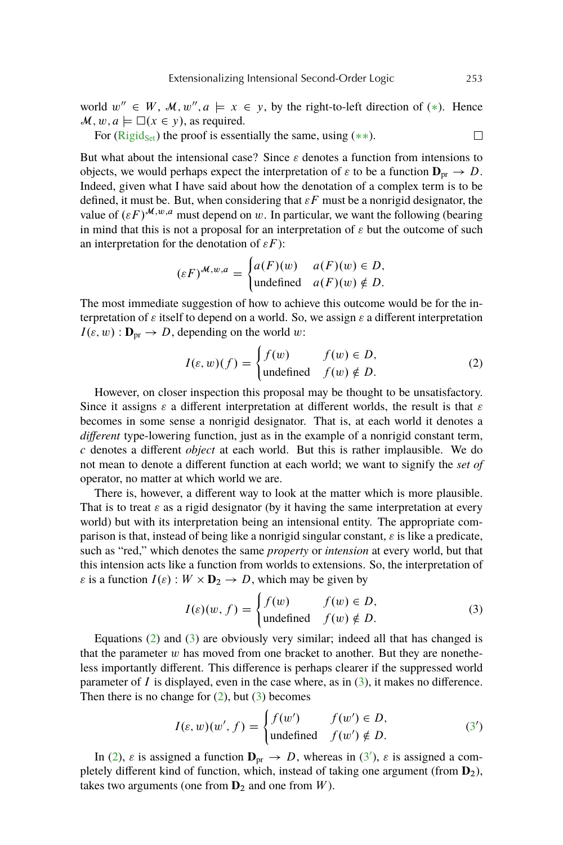<span id="page-10-0"></span>world  $w'' \in W$ ,  $M, w'', a \models x \in y$ , by the right-to-left direction of (\*). Hence  $\mathcal{M}, w, a \models \Box(x \in y)$ , as required.

For ( $\text{Rigid}_{\text{Set}}$ ) the proof is essentially the same, using (\*\*).

But what about the intensional case? Since  $\varepsilon$  denotes a function from intensions to objects, we would perhaps expect the interpretation of  $\varepsilon$  to be a function  $\mathbf{D}_{\text{pr}} \to D$ . Indeed, given what I have said about how the denotation of a complex term is to be defined, it must be. But, when considering that  $\epsilon F$  must be a nonrigid designator, the value of  $(\varepsilon F)^{\mathcal{M},w,a}$  must depend on w. In particular, we want the following (bearing in mind that this is not a proposal for an interpretation of  $\varepsilon$  but the outcome of such an interpretation for the denotation of  $\varepsilon F$  ):

$$
(\varepsilon F)^{\mathcal{M},w,a} = \begin{cases} a(F)(w) & a(F)(w) \in D, \\ \text{undefined} & a(F)(w) \notin D. \end{cases}
$$

The most immediate suggestion of how to achieve this outcome would be for the interpretation of  $\varepsilon$  itself to depend on a world. So, we assign  $\varepsilon$  a different interpretation  $I(\varepsilon, w) : \mathbf{D}_{pr} \to D$ , depending on the world w:

$$
I(\varepsilon, w)(f) = \begin{cases} f(w) & f(w) \in D, \\ \text{undefined} & f(w) \notin D. \end{cases}
$$
 (2)

However, on closer inspection this proposal may be thought to be unsatisfactory. Since it assigns  $\varepsilon$  a different interpretation at different worlds, the result is that  $\varepsilon$ becomes in some sense a nonrigid designator. That is, at each world it denotes a *different* type-lowering function, just as in the example of a nonrigid constant term, c denotes a different *object* at each world. But this is rather implausible. We do not mean to denote a different function at each world; we want to signify the *set of* operator, no matter at which world we are.

There is, however, a different way to look at the matter which is more plausible. That is to treat  $\varepsilon$  as a rigid designator (by it having the same interpretation at every world) but with its interpretation being an intensional entity. The appropriate comparison is that, instead of being like a nonrigid singular constant,  $\varepsilon$  is like a predicate, such as "red," which denotes the same *property* or *intension* at every world, but that this intension acts like a function from worlds to extensions. So, the interpretation of  $\varepsilon$  is a function  $I(\varepsilon)$ :  $W \times D_2 \rightarrow D$ , which may be given by

$$
I(\varepsilon)(w, f) = \begin{cases} f(w) & f(w) \in D, \\ \text{undefined} & f(w) \notin D. \end{cases}
$$
 (3)

Equations (2) and (3) are obviously very similar; indeed all that has changed is that the parameter  $w$  has moved from one bracket to another. But they are nonetheless importantly different. This difference is perhaps clearer if the suppressed world parameter of  $I$  is displayed, even in the case where, as in  $(3)$ , it makes no difference. Then there is no change for  $(2)$ , but  $(3)$  becomes

$$
I(\varepsilon, w)(w', f) = \begin{cases} f(w') & f(w') \in D, \\ \text{undefined} & f(w') \notin D. \end{cases}
$$
 (3')

In (2),  $\varepsilon$  is assigned a function  $\mathbf{D}_{\text{pr}} \to D$ , whereas in (3<sup>'</sup>),  $\varepsilon$  is assigned a completely different kind of function, which, instead of taking one argument (from **D**2), takes two arguments (one from  $D_2$  and one from  $W$ ).

 $\Box$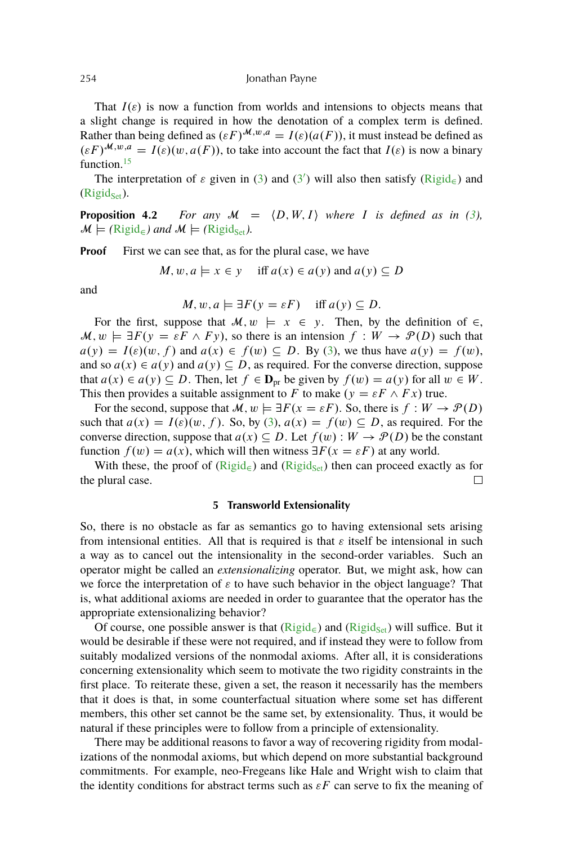That  $I(\varepsilon)$  is now a function from worlds and intensions to objects means that a slight change is required in how the denotation of a complex term is defined. Rather than being defined as  $(\varepsilon F)^{\mathcal{M},w,a} = I(\varepsilon)(a(F))$ , it must instead be defined as  $(\varepsilon F)^{\mathcal{M}, w, a} = I(\varepsilon)(w, a(F))$ , to take into account the fact that  $I(\varepsilon)$  is now a binary function.<sup>[15](#page-17-0)</sup>

The interpretation of  $\varepsilon$  given in [\(3\)](#page-10-0) and [\(3](#page-10-0)') will also then satisfy ( $\overline{Rigid}_{\epsilon}$ ) and  $(Rigid_{Set})$  $(Rigid_{Set})$ .

**Proposition 4.2** *For any*  $M = \langle D, W, I \rangle$  *where I is defined as in [\(3\)](#page-10-0),*  $\mathcal{M} \models (\text{Rigid}_{\infty})$  $\mathcal{M} \models (\text{Rigid}_{\infty})$  $\mathcal{M} \models (\text{Rigid}_{\infty})$  and  $\mathcal{M} \models (\text{Rigid}_{\text{Set}})$ .

**Proof** First we can see that, as for the plural case, we have

$$
M, w, a \models x \in y
$$
 iff  $a(x) \in a(y)$  and  $a(y) \subseteq D$ 

and

$$
M, w, a \models \exists F(y = \varepsilon F)
$$
 iff  $a(y) \subseteq D$ .

For the first, suppose that  $\mathcal{M}, w \models x \in y$ . Then, by the definition of  $\in$ ,  $\mathcal{M}, w \models \exists F(y = \varepsilon F \land Fy)$ , so there is an intension  $f : W \to \mathcal{P}(D)$  such that  $a(y) = I(\varepsilon)(w, f)$  and  $a(x) \in f(w) \subseteq D$ . By [\(3\)](#page-10-0), we thus have  $a(y) = f(w)$ , and so  $a(x) \in a(y)$  and  $a(y) \subseteq D$ , as required. For the converse direction, suppose that  $a(x) \in a(y) \subseteq D$ . Then, let  $f \in \mathbf{D}_{\text{pr}}$  be given by  $f(w) = a(y)$  for all  $w \in W$ . This then provides a suitable assignment to F to make  $(y = \varepsilon F \wedge F x)$  true.

For the second, suppose that  $M, w \models \exists F(x = \varepsilon F)$ . So, there is  $f : W \to \mathcal{P}(D)$ such that  $a(x) = I(\varepsilon)(w, f)$ . So, by [\(3\)](#page-10-0),  $a(x) = f(w) \subseteq D$ , as required. For the converse direction, suppose that  $a(x) \subseteq D$ . Let  $f(w) : W \to \mathcal{P}(D)$  be the constant function  $f(w) = a(x)$ , which will then witness  $\exists F(x = \varepsilon F)$  at any world.

With these, the proof of  $(Rigid_{\epsilon})$  $(Rigid_{\epsilon})$  and  $(Rigid_{\text{Set}})$  then can proceed exactly as for the plural case.  $\Box$ 

## **5 Transworld Extensionality**

So, there is no obstacle as far as semantics go to having extensional sets arising from intensional entities. All that is required is that  $\varepsilon$  itself be intensional in such a way as to cancel out the intensionality in the second-order variables. Such an operator might be called an *extensionalizing* operator. But, we might ask, how can we force the interpretation of  $\varepsilon$  to have such behavior in the object language? That is, what additional axioms are needed in order to guarantee that the operator has the appropriate extensionalizing behavior?

Of course, one possible answer is that  $(Rigid_{\epsilon})$  $(Rigid_{\epsilon})$  and  $(Rigid_{\epsilon})$  will suffice. But it would be desirable if these were not required, and if instead they were to follow from suitably modalized versions of the nonmodal axioms. After all, it is considerations concerning extensionality which seem to motivate the two rigidity constraints in the first place. To reiterate these, given a set, the reason it necessarily has the members that it does is that, in some counterfactual situation where some set has different members, this other set cannot be the same set, by extensionality. Thus, it would be natural if these principles were to follow from a principle of extensionality.

There may be additional reasons to favor a way of recovering rigidity from modalizations of the nonmodal axioms, but which depend on more substantial background commitments. For example, neo-Fregeans like Hale and Wright wish to claim that the identity conditions for abstract terms such as  $\varepsilon F$  can serve to fix the meaning of

<span id="page-11-0"></span>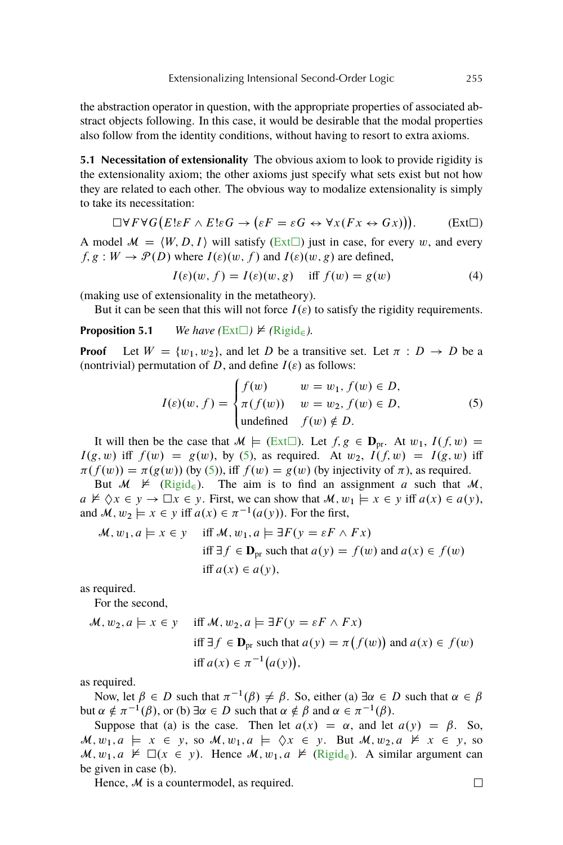<span id="page-12-0"></span>the abstraction operator in question, with the appropriate properties of associated abstract objects following. In this case, it would be desirable that the modal properties also follow from the identity conditions, without having to resort to extra axioms.

**5.1 Necessitation of extensionality** The obvious axiom to look to provide rigidity is the extensionality axiom; the other axioms just specify what sets exist but not how they are related to each other. The obvious way to modalize extensionality is simply to take its necessitation:

$$
\Box \forall F \forall G \big( E \cup F \land E \cup G \rightarrow (\varepsilon F = \varepsilon G \leftrightarrow \forall x (Fx \leftrightarrow Gx) \big) \big).
$$
 (Ext $\Box$ )

A model  $\mathcal{M} = \langle W, D, I \rangle$  will satisfy (Ext $\Box$ ) just in case, for every w, and every  $f, g: W \to \mathcal{P}(D)$  where  $I(\varepsilon)(w, f)$  and  $I(\varepsilon)(w, g)$  are defined,

$$
I(\varepsilon)(w, f) = I(\varepsilon)(w, g) \quad \text{iff } f(w) = g(w) \tag{4}
$$

(making use of extensionality in the metatheory).

But it can be seen that this will not force  $I(\varepsilon)$  to satisfy the rigidity requirements.

## **Proposition 5.1** *We have* ( $Ext\Box$ )  $\nvdash$  ( $Rigid_{\infty}$  $Rigid_{\infty}$ ).

**Proof** Let  $W = \{w_1, w_2\}$ , and let D be a transitive set. Let  $\pi : D \to D$  be a (nontrivial) permutation of D, and define  $I(\varepsilon)$  as follows:

$$
I(\varepsilon)(w, f) = \begin{cases} f(w) & w = w_1, f(w) \in D, \\ \pi(f(w)) & w = w_2, f(w) \in D, \\ \text{undefined} & f(w) \notin D. \end{cases}
$$
(5)

It will then be the case that  $\mathcal{M} \models (Ext\Box)$ . Let  $f, g \in \mathbf{D}_{pr}$ . At  $w_1, I(f, w) =$  $I(g, w)$  iff  $f(w) = g(w)$ , by (5), as required. At  $w_2$ ,  $I(f, w) = I(g, w)$  iff  $\pi(f(w)) = \pi(g(w))$  (by (5)), iff  $f(w) = g(w)$  (by injectivity of  $\pi$ ), as required.

But  $M \not\vDash (Rigid_{\epsilon})$  $M \not\vDash (Rigid_{\epsilon})$  $M \not\vDash (Rigid_{\epsilon})$ . The aim is to find an assignment a such that M,  $a \not\vDash \Diamond x \in y \rightarrow \Box x \in y$ . First, we can show that  $M, w_1 \models x \in y$  iff  $a(x) \in a(y)$ , and  $\mathcal{M}, w_2 \models x \in y$  iff  $a(x) \in \pi^{-1}(a(y))$ . For the first,

$$
\mathcal{M}, w_1, a \models x \in y \quad \text{iff } \mathcal{M}, w_1, a \models \exists F(y = \varepsilon F \land Fx)
$$
\n
$$
\text{iff } \exists f \in \mathbf{D}_{\text{pr}} \text{ such that } a(y) = f(w) \text{ and } a(x) \in f(w)
$$
\n
$$
\text{iff } a(x) \in a(y),
$$

as required.

For the second,

$$
\mathcal{M}, w_2, a \models x \in y \quad \text{iff } \mathcal{M}, w_2, a \models \exists F(y = \varepsilon F \land Fx)
$$
\n
$$
\text{iff } \exists f \in \mathbf{D}_{\text{pr}} \text{ such that } a(y) = \pi \big( f(w) \big) \text{ and } a(x) \in f(w)
$$
\n
$$
\text{iff } a(x) \in \pi^{-1} \big( a(y) \big),
$$

as required.

Now, let  $\beta \in D$  such that  $\pi^{-1}(\beta) \neq \beta$ . So, either (a)  $\exists \alpha \in D$  such that  $\alpha \in \beta$ but  $\alpha \notin \pi^{-1}(\beta)$ , or (b)  $\exists \alpha \in D$  such that  $\alpha \notin \beta$  and  $\alpha \in \pi^{-1}(\beta)$ .

Suppose that (a) is the case. Then let  $a(x) = \alpha$ , and let  $a(y) = \beta$ . So,  $\mathcal{M}, w_1, a \models x \in y$ , so  $\mathcal{M}, w_1, a \models \Diamond x \in y$ . But  $\mathcal{M}, w_2, a \not\vDash x \in y$ , so  $\mathcal{M}, w_1, a \nvDash \Box(x \in y)$ . Hence  $\mathcal{M}, w_1, a \nvDash (\text{Rigid}_{\in})$ . A similar argument can be given in case (b).

Hence, *M* is a countermodel, as required.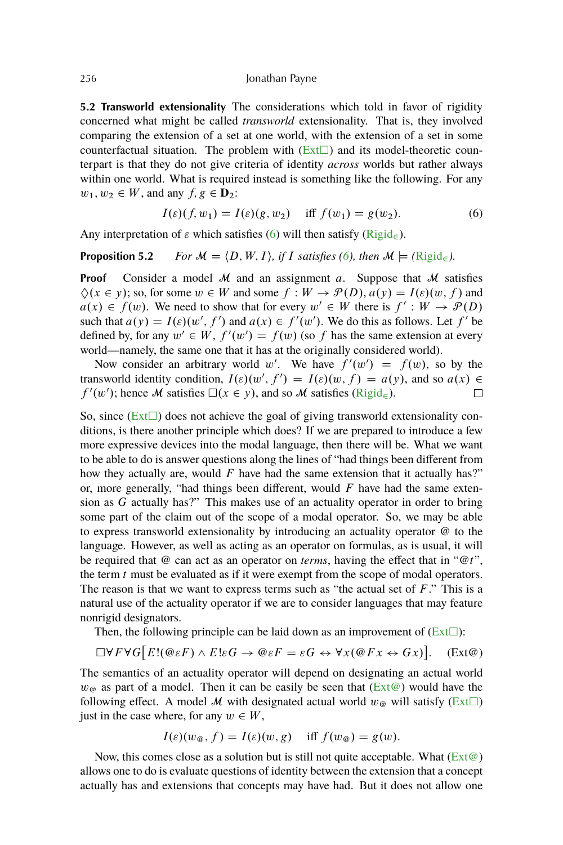<span id="page-13-0"></span>**5.2 Transworld extensionality** The considerations which told in favor of rigidity concerned what might be called *transworld* extensionality. That is, they involved comparing the extension of a set at one world, with the extension of a set in some counterfactual situation. The problem with  $(Ext\Box)$  $(Ext\Box)$  and its model-theoretic counterpart is that they do not give criteria of identity *across* worlds but rather always within one world. What is required instead is something like the following. For any  $w_1, w_2 \in W$ , and any  $f, g \in \mathbf{D}_2$ :

$$
I(\varepsilon)(f, w_1) = I(\varepsilon)(g, w_2) \quad \text{iff } f(w_1) = g(w_2). \tag{6}
$$

Any interpretation of  $\varepsilon$  which satisfies (6) will then satisfy [\(Rigid](#page-4-0)<sub> $\epsilon$ </sub>).

## **Proposition 5.2** *For*  $M = \langle D, W, I \rangle$ , if *I satisfies (6), then*  $M \models (\text{Rigid}_\infty)$  $M \models (\text{Rigid}_\infty)$  $M \models (\text{Rigid}_\infty)$ .

**Proof** Consider a model  $M$  and an assignment a. Suppose that  $M$  satisfies  $\Diamond(x \in y)$ ; so, for some  $w \in W$  and some  $f : W \to \mathcal{P}(D)$ ,  $a(y) = I(\varepsilon)(w, f)$  and  $a(x) \in f(w)$ . We need to show that for every  $w' \in W$  there is  $f' : W \to \mathcal{P}(D)$ such that  $a(y) = I(\varepsilon)(w', f')$  and  $a(x) \in f'(w')$ . We do this as follows. Let  $f'$  be defined by, for any  $w' \in W$ ,  $f'(w') = f(w)$  (so f has the same extension at every world—namely, the same one that it has at the originally considered world).

Now consider an arbitrary world w'. We have  $f'(w') = f(w)$ , so by the transworld identity condition,  $I(\varepsilon)(w', f') = I(\varepsilon)(w, f) = a(y)$ , and so  $a(x) \in$  $f'(w')$ ; hence M satisfies  $\square(x \in y)$ , and so M satisfies [\(Rigid](#page-4-0)<sub>e</sub>).  $\Box$ 

So, since  $(Ext\Box)$  $(Ext\Box)$  does not achieve the goal of giving transworld extensionality conditions, is there another principle which does? If we are prepared to introduce a few more expressive devices into the modal language, then there will be. What we want to be able to do is answer questions along the lines of "had things been different from how they actually are, would  $F$  have had the same extension that it actually has?" or, more generally, "had things been different, would  $F$  have had the same extension as G actually has?" This makes use of an actuality operator in order to bring some part of the claim out of the scope of a modal operator. So, we may be able to express transworld extensionality by introducing an actuality operator @ to the language. However, as well as acting as an operator on formulas, as is usual, it will be required that @ can act as an operator on *terms*, having the effect that in "@t", the term  $t$  must be evaluated as if it were exempt from the scope of modal operators. The reason is that we want to express terms such as "the actual set of  $F$ ." This is a natural use of the actuality operator if we are to consider languages that may feature nonrigid designators.

Then, the following principle can be laid down as an improvement of  $(Ext\Box)$  $(Ext\Box)$ :

$$
\Box \forall F \forall G \big[ E! (\mathcal{Q} \varepsilon F) \land E! \varepsilon G \rightarrow \mathcal{Q} \varepsilon F = \varepsilon G \leftrightarrow \forall x (\mathcal{Q} F x \leftrightarrow G x) \big]. \quad \text{(Ext} \mathcal{Q})
$$

The semantics of an actuality operator will depend on designating an actual world  $w_{\mathcal{Q}}$  as part of a model. Then it can be easily be seen that (Ext@) would have the following effect. A model M with designated actual world  $w_{\varphi}$  will satisfy [\(Ext](#page-12-0) $\square$ ) just in the case where, for any  $w \in W$ ,

$$
I(\varepsilon)(w_{\mathfrak{G}},f) = I(\varepsilon)(w,g) \quad \text{iff } f(w_{\mathfrak{G}}) = g(w).
$$

Now, this comes close as a solution but is still not quite acceptable. What  $(Ext@)$ allows one to do is evaluate questions of identity between the extension that a concept actually has and extensions that concepts may have had. But it does not allow one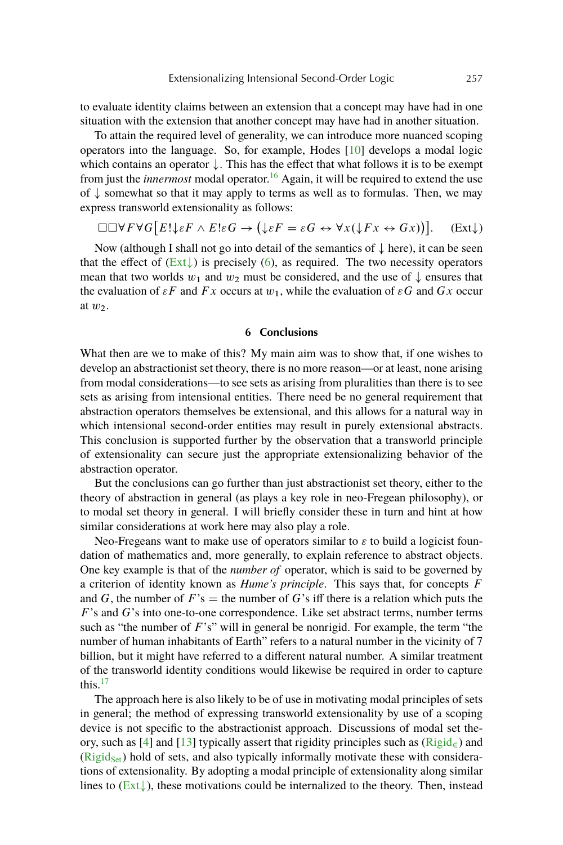<span id="page-14-0"></span>to evaluate identity claims between an extension that a concept may have had in one situation with the extension that another concept may have had in another situation.

To attain the required level of generality, we can introduce more nuanced scoping operators into the language. So, for example, Hodes [\[10\]](#page-18-0) develops a modal logic which contains an operator  $\downarrow$ . This has the effect that what follows it is to be exempt from just the *innermost* modal operator.<sup>[16](#page-17-0)</sup> Again, it will be required to extend the use of  $\downarrow$  somewhat so that it may apply to terms as well as to formulas. Then, we may express transworld extensionality as follows:

$$
\Box \Box \forall F \forall G \big[ E! \downarrow \varepsilon F \land E! \varepsilon G \rightarrow (\downarrow \varepsilon F = \varepsilon G \leftrightarrow \forall x (\downarrow F x \leftrightarrow G x) \big) ]. \quad \text{(Ext}\downarrow)
$$

Now (although I shall not go into detail of the semantics of  $\downarrow$  here), it can be seen that the effect of  $(Ext)$  is precisely [\(6\)](#page-13-0), as required. The two necessity operators mean that two worlds  $w_1$  and  $w_2$  must be considered, and the use of  $\downarrow$  ensures that the evaluation of  $\varepsilon F$  and  $Fx$  occurs at  $w_1$ , while the evaluation of  $\varepsilon G$  and  $Gx$  occur at  $w_2$ .

#### **6 Conclusions**

What then are we to make of this? My main aim was to show that, if one wishes to develop an abstractionist set theory, there is no more reason—or at least, none arising from modal considerations—to see sets as arising from pluralities than there is to see sets as arising from intensional entities. There need be no general requirement that abstraction operators themselves be extensional, and this allows for a natural way in which intensional second-order entities may result in purely extensional abstracts. This conclusion is supported further by the observation that a transworld principle of extensionality can secure just the appropriate extensionalizing behavior of the abstraction operator.

But the conclusions can go further than just abstractionist set theory, either to the theory of abstraction in general (as plays a key role in neo-Fregean philosophy), or to modal set theory in general. I will briefly consider these in turn and hint at how similar considerations at work here may also play a role.

Neo-Fregeans want to make use of operators similar to  $\varepsilon$  to build a logicist foundation of mathematics and, more generally, to explain reference to abstract objects. One key example is that of the *number of* operator, which is said to be governed by a criterion of identity known as *Hume's principle*. This says that, for concepts F and G, the number of  $F$ 's  $=$  the number of G's iff there is a relation which puts the  $F$ 's and  $G$ 's into one-to-one correspondence. Like set abstract terms, number terms such as "the number of  $F$ 's" will in general be nonrigid. For example, the term "the number of human inhabitants of Earth" refers to a natural number in the vicinity of 7 billion, but it might have referred to a different natural number. A similar treatment of the transworld identity conditions would likewise be required in order to capture this.[17](#page-17-0)

The approach here is also likely to be of use in motivating modal principles of sets in general; the method of expressing transworld extensionality by use of a scoping device is not specific to the abstractionist approach. Discussions of modal set the-ory, such as [\[4\]](#page-17-0) and [\[13\]](#page-18-0) typically assert that rigidity principles such as  $(Rigid_{\epsilon})$  $(Rigid_{\epsilon})$  and  $(Rigid<sub>Set</sub>)$  $(Rigid<sub>Set</sub>)$  hold of sets, and also typically informally motivate these with considerations of extensionality. By adopting a modal principle of extensionality along similar lines to  $(Ext)$ , these motivations could be internalized to the theory. Then, instead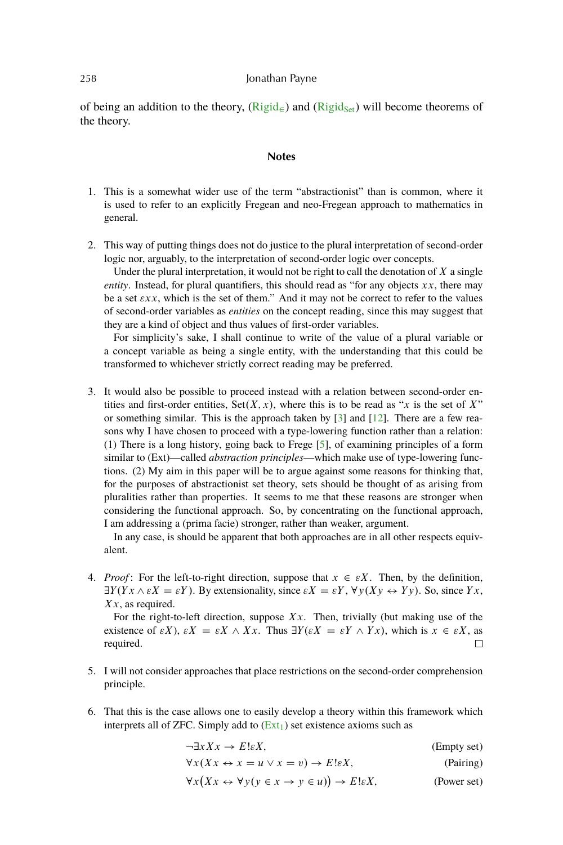<span id="page-15-0"></span>of being an addition to the theory,  $(Rigid_{\epsilon})$  $(Rigid_{\epsilon})$  and  $(Rigid_{\delta e})$  will become theorems of the theory.

## **Notes**

- 1. This is a somewhat wider use of the term "abstractionist" than is common, where it is used to refer to an explicitly Fregean and neo-Fregean approach to mathematics in general.
- 2. This way of putting things does not do justice to the plural interpretation of second-order logic nor, arguably, to the interpretation of second-order logic over concepts.

Under the plural interpretation, it would not be right to call the denotation of  $X$  a single *entity*. Instead, for plural quantifiers, this should read as "for any objects  $xx$ , there may be a set  $\epsilon xx$ , which is the set of them." And it may not be correct to refer to the values of second-order variables as *entities* on the concept reading, since this may suggest that they are a kind of object and thus values of first-order variables.

For simplicity's sake, I shall continue to write of the value of a plural variable or a concept variable as being a single entity, with the understanding that this could be transformed to whichever strictly correct reading may be preferred.

3. It would also be possible to proceed instead with a relation between second-order entities and first-order entities,  $Set(X, x)$ , where this is to be read as "x is the set of X" or something similar. This is the approach taken by [\[3\]](#page-17-0) and [\[12\]](#page-18-0). There are a few reasons why I have chosen to proceed with a type-lowering function rather than a relation: (1) There is a long history, going back to Frege [\[5\]](#page-17-0), of examining principles of a form similar to (Ext)—called *abstraction principles*—which make use of type-lowering functions. (2) My aim in this paper will be to argue against some reasons for thinking that, for the purposes of abstractionist set theory, sets should be thought of as arising from pluralities rather than properties. It seems to me that these reasons are stronger when considering the functional approach. So, by concentrating on the functional approach, I am addressing a (prima facie) stronger, rather than weaker, argument.

In any case, is should be apparent that both approaches are in all other respects equivalent.

4. *Proof*: For the left-to-right direction, suppose that  $x \in \varepsilon X$ . Then, by the definition,  $\exists Y (Yx \wedge \varepsilon X = \varepsilon Y)$ . By extensionality, since  $\varepsilon X = \varepsilon Y$ ,  $\forall y (Xy \leftrightarrow Yy)$ . So, since Yx,  $Xx$ , as required.

For the right-to-left direction, suppose  $Xx$ . Then, trivially (but making use of the existence of  $\varepsilon X$ ),  $\varepsilon X = \varepsilon X \wedge Xx$ . Thus  $\exists Y (\varepsilon X = \varepsilon Y \wedge Yx)$ , which is  $x \in \varepsilon X$ , as required. П

- 5. I will not consider approaches that place restrictions on the second-order comprehension principle.
- 6. That this is the case allows one to easily develop a theory within this framework which interprets all of ZFC. Simply add to  $(Ext<sub>1</sub>)$  $(Ext<sub>1</sub>)$  set existence axioms such as

 $\neg \exists x Xx \rightarrow E! \varepsilon X;$  (Empty set)  $\forall x (Xx \leftrightarrow x = u \lor x = v) \rightarrow E! \varepsilon X;$  (Pairing)

 $\forall x (Xx \leftrightarrow \forall y (y \in x \rightarrow y \in u))$ (Power set)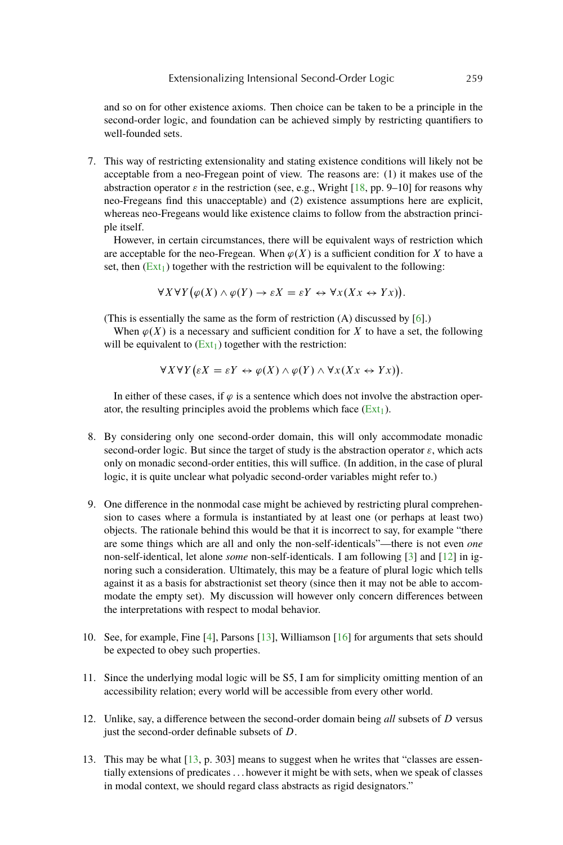<span id="page-16-0"></span>and so on for other existence axioms. Then choice can be taken to be a principle in the second-order logic, and foundation can be achieved simply by restricting quantifiers to well-founded sets.

7. This way of restricting extensionality and stating existence conditions will likely not be acceptable from a neo-Fregean point of view. The reasons are: (1) it makes use of the abstraction operator  $\varepsilon$  in the restriction (see, e.g., Wright [\[18,](#page-18-0) pp. 9–10] for reasons why neo-Fregeans find this unacceptable) and (2) existence assumptions here are explicit, whereas neo-Fregeans would like existence claims to follow from the abstraction principle itself.

However, in certain circumstances, there will be equivalent ways of restriction which are acceptable for the neo-Fregean. When  $\varphi(X)$  is a sufficient condition for X to have a set, then  $(Ext<sub>1</sub>)$  $(Ext<sub>1</sub>)$  together with the restriction will be equivalent to the following:

$$
\forall X \forall Y (\varphi(X) \land \varphi(Y) \to \varepsilon X = \varepsilon Y \leftrightarrow \forall x (Xx \leftrightarrow Yx)).
$$

(This is essentially the same as the form of restriction (A) discussed by [\[6\]](#page-17-0).)

When  $\varphi(X)$  is a necessary and sufficient condition for X to have a set, the following will be equivalent to  $(Ext<sub>1</sub>)$  $(Ext<sub>1</sub>)$  together with the restriction:

$$
\forall X \forall Y (\varepsilon X = \varepsilon Y \leftrightarrow \varphi(X) \land \varphi(Y) \land \forall x (Xx \leftrightarrow Yx)).
$$

In either of these cases, if  $\varphi$  is a sentence which does not involve the abstraction operator, the resulting principles avoid the problems which face  $(Ext<sub>1</sub>)$  $(Ext<sub>1</sub>)$ .

- 8. By considering only one second-order domain, this will only accommodate monadic second-order logic. But since the target of study is the abstraction operator  $\varepsilon$ , which acts only on monadic second-order entities, this will suffice. (In addition, in the case of plural logic, it is quite unclear what polyadic second-order variables might refer to.)
- 9. One difference in the nonmodal case might be achieved by restricting plural comprehension to cases where a formula is instantiated by at least one (or perhaps at least two) objects. The rationale behind this would be that it is incorrect to say, for example "there are some things which are all and only the non-self-identicals"—there is not even *one* non-self-identical, let alone *some* non-self-identicals. I am following [\[3\]](#page-17-0) and [\[12\]](#page-18-0) in ignoring such a consideration. Ultimately, this may be a feature of plural logic which tells against it as a basis for abstractionist set theory (since then it may not be able to accommodate the empty set). My discussion will however only concern differences between the interpretations with respect to modal behavior.
- 10. See, for example, Fine [\[4\]](#page-17-0), Parsons [\[13\]](#page-18-0), Williamson [\[16\]](#page-18-0) for arguments that sets should be expected to obey such properties.
- 11. Since the underlying modal logic will be S5, I am for simplicity omitting mention of an accessibility relation; every world will be accessible from every other world.
- 12. Unlike, say, a difference between the second-order domain being *all* subsets of D versus just the second-order definable subsets of D.
- 13. This may be what [\[13,](#page-18-0) p. 303] means to suggest when he writes that "classes are essentially extensions of predicates . . . however it might be with sets, when we speak of classes in modal context, we should regard class abstracts as rigid designators."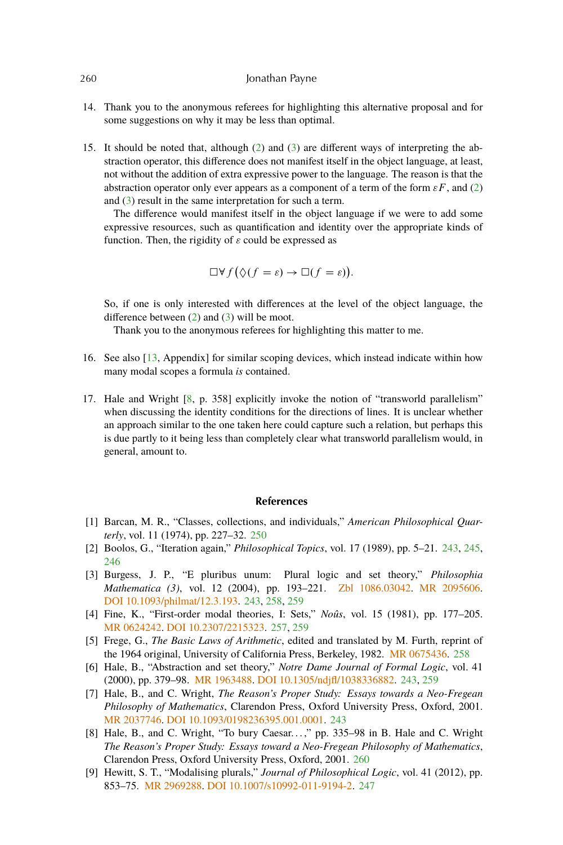- 14. Thank you to the anonymous referees for highlighting this alternative proposal and for some suggestions on why it may be less than optimal.
- 15. It should be noted that, although [\(2\)](#page-10-0) and [\(3\)](#page-10-0) are different ways of interpreting the abstraction operator, this difference does not manifest itself in the object language, at least, not without the addition of extra expressive power to the language. The reason is that the abstraction operator only ever appears as a component of a term of the form  $\varepsilon F$ , and [\(2\)](#page-10-0) and [\(3\)](#page-10-0) result in the same interpretation for such a term.

The difference would manifest itself in the object language if we were to add some expressive resources, such as quantification and identity over the appropriate kinds of function. Then, the rigidity of  $\varepsilon$  could be expressed as

$$
\Box \forall f (\Diamond (f = \varepsilon) \to \Box (f = \varepsilon)).
$$

So, if one is only interested with differences at the level of the object language, the difference between [\(2\)](#page-10-0) and [\(3\)](#page-10-0) will be moot.

Thank you to the anonymous referees for highlighting this matter to me.

- 16. See also [\[13,](#page-18-0) Appendix] for similar scoping devices, which instead indicate within how many modal scopes a formula *is* contained.
- 17. Hale and Wright [8, p. 358] explicitly invoke the notion of "transworld parallelism" when discussing the identity conditions for the directions of lines. It is unclear whether an approach similar to the one taken here could capture such a relation, but perhaps this is due partly to it being less than completely clear what transworld parallelism would, in general, amount to.

## **References**

- [1] Barcan, M. R., "Classes, collections, and individuals," *American Philosophical Quarterly*, vol. 11 (1974), pp. 227–32. [250](#page-7-0)
- [2] Boolos, G., "Iteration again," *Philosophical Topics*, vol. 17 (1989), pp. 5–21. [243,](#page-0-0) [245,](#page-2-0) [246](#page-3-0)
- [3] Burgess, J. P., "E pluribus unum: Plural logic and set theory," *Philosophia Mathematica (3)*, vol. 12 (2004), pp. 193–221. [Zbl 1086.03042.](http://www.emis.de/cgi-bin/MATH-item?1086.03042) [MR 2095606.](http://www.ams.org/mathscinet-getitem?mr=2095606) [DOI 10.1093/philmat/12.3.193.](http://dx.doi.org/10.1093/philmat/12.3.193) [243,](#page-0-0) [258,](#page-15-0) [259](#page-16-0)
- [4] Fine, K., "First-order modal theories, I: Sets," *Noûs*, vol. 15 (1981), pp. 177–205. [MR 0624242.](http://www.ams.org/mathscinet-getitem?mr=0624242) [DOI 10.2307/2215323.](http://dx.doi.org/10.2307/2215323) [257,](#page-14-0) [259](#page-16-0)
- [5] Frege, G., *The Basic Laws of Arithmetic*, edited and translated by M. Furth, reprint of the 1964 original, University of California Press, Berkeley, 1982. [MR 0675436.](http://www.ams.org/mathscinet-getitem?mr=0675436) [258](#page-15-0)
- [6] Hale, B., "Abstraction and set theory," *Notre Dame Journal of Formal Logic*, vol. 41 (2000), pp. 379–98. [MR 1963488.](http://www.ams.org/mathscinet-getitem?mr=1963488) [DOI 10.1305/ndjfl/1038336882.](http://dx.doi.org/10.1305/ndjfl/1038336882) [243,](#page-0-0) [259](#page-16-0)
- [7] Hale, B., and C. Wright, *The Reason's Proper Study: Essays towards a Neo-Fregean Philosophy of Mathematics*, Clarendon Press, Oxford University Press, Oxford, 2001. [MR 2037746.](http://www.ams.org/mathscinet-getitem?mr=2037746) [DOI 10.1093/0198236395.001.0001.](http://dx.doi.org/10.1093/0198236395.001.0001) [243](#page-0-0)
- [8] Hale, B., and C. Wright, "To bury Caesar...," pp. 335-98 in B. Hale and C. Wright *The Reason's Proper Study: Essays toward a Neo-Fregean Philosophy of Mathematics*, Clarendon Press, Oxford University Press, Oxford, 2001. 260
- [9] Hewitt, S. T., "Modalising plurals," *Journal of Philosophical Logic*, vol. 41 (2012), pp. 853–75. [MR 2969288.](http://www.ams.org/mathscinet-getitem?mr=2969288) [DOI 10.1007/s10992-011-9194-2.](http://dx.doi.org/10.1007/s10992-011-9194-2) [247](#page-4-0)

<span id="page-17-0"></span>